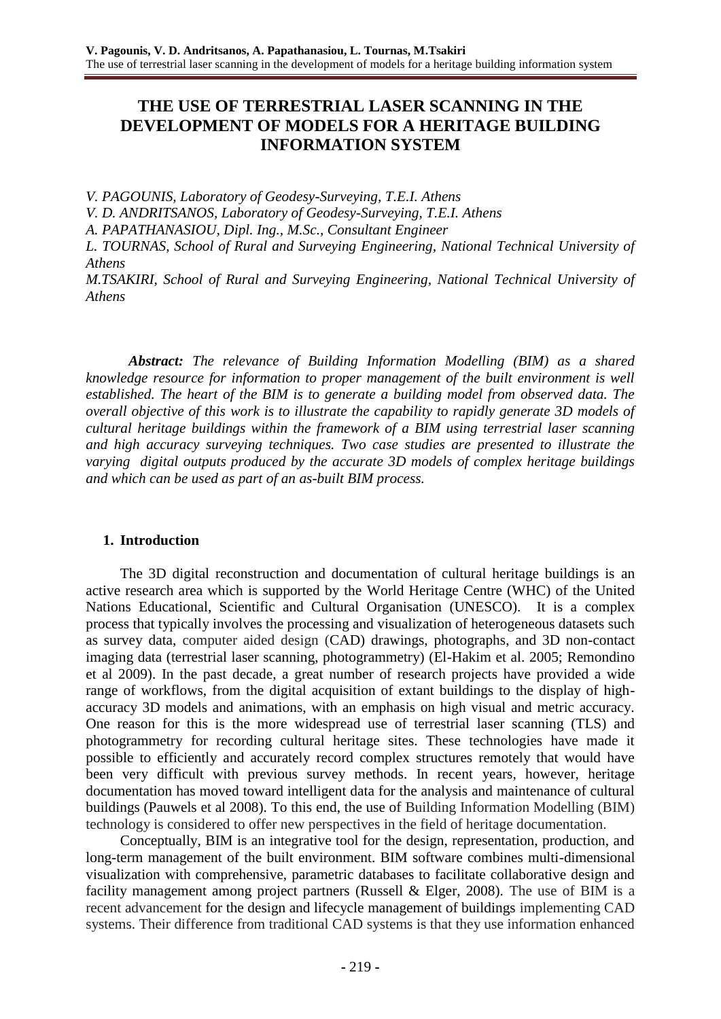# **THE USE OF TERRESTRIAL LASER SCANNING IN THE DEVELOPMENT OF MODELS FOR A HERITAGE BUILDING INFORMATION SYSTEM**

*V. PAGOUNIS, Laboratory of Geodesy-Surveying, T.E.I. Athens*

*V. D. ANDRITSANOS, Laboratory of Geodesy-Surveying, T.E.I. Athens*

*A. PAPATHANASIOU, Dipl. Ing., M.Sc., Consultant Engineer*

*L. TOURNAS, School of Rural and Surveying Engineering, National Technical University of Athens*

*M.TSAKIRI, School of Rural and Surveying Engineering, National Technical University of Athens*

*Abstract: The relevance of Building Information Modelling (BIM) as a shared knowledge resource for information to proper management of the built environment is well established. The heart of the BIM is to generate a building model from observed data. The overall objective of this work is to illustrate the capability to rapidly generate 3D models of cultural heritage buildings within the framework of a BIM using terrestrial laser scanning and high accuracy surveying techniques. Two case studies are presented to illustrate the varying digital outputs produced by the accurate 3D models of complex heritage buildings and which can be used as part of an as-built BIM process.*

### **1. Introduction**

The 3D digital reconstruction and documentation of cultural heritage buildings is an active research area which is supported by the World Heritage Centre (WHC) of the United Nations Educational, Scientific and Cultural Organisation (UNESCO). It is a complex process that typically involves the processing and visualization of heterogeneous datasets such as survey data, computer aided design (CAD) drawings, photographs, and 3D non-contact imaging data (terrestrial laser scanning, photogrammetry) (El-Hakim et al. 2005; Remondino et al 2009). In the past decade, a great number of research projects have provided a wide range of workflows, from the digital acquisition of extant buildings to the display of highaccuracy 3D models and animations, with an emphasis on high visual and metric accuracy. One reason for this is the more widespread use of terrestrial laser scanning (TLS) and photogrammetry for recording cultural heritage sites. These technologies have made it possible to efficiently and accurately record complex structures remotely that would have been very difficult with previous survey methods. In recent years, however, heritage documentation has moved toward intelligent data for the analysis and maintenance of cultural buildings (Pauwels et al 2008). To this end, the use of Building Information Modelling (BIM) technology is considered to offer new perspectives in the field of heritage documentation.

Conceptually, BIM is an integrative tool for the design, representation, production, and long-term management of the built environment. BIM software combines multi-dimensional visualization with comprehensive, parametric databases to facilitate collaborative design and facility management among project partners (Russell & Elger, 2008). The use of BIM is a recent advancement for the design and lifecycle management of buildings implementing CAD systems. Their difference from traditional CAD systems is that they use information enhanced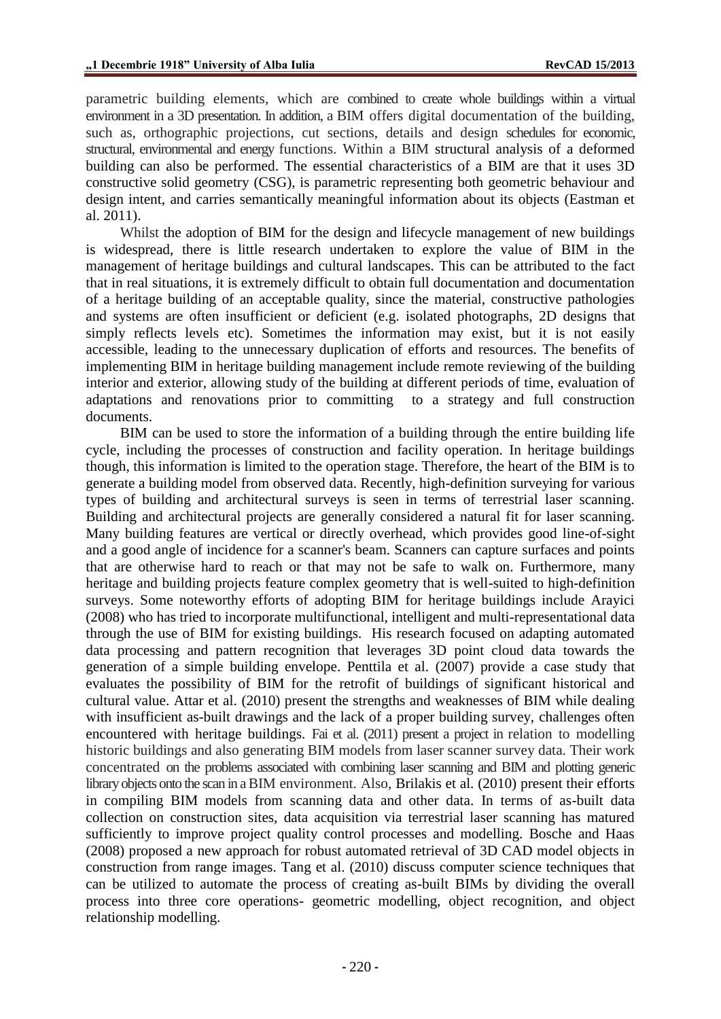parametric building elements, which are combined to create whole buildings within a virtual environment in a 3D presentation. In addition, a BIM offers digital documentation of the building, such as, orthographic projections, cut sections, details and design schedules for economic, structural, environmental and energy functions. Within a BIM structural analysis of a deformed building can also be performed. The essential characteristics of a BIM are that it uses 3D constructive solid geometry (CSG), is parametric representing both geometric behaviour and design intent, and carries semantically meaningful information about its objects (Eastman et al. 2011).

Whilst the adoption of BIM for the design and lifecycle management of new buildings is widespread, there is little research undertaken to explore the value of BIM in the management of heritage buildings and cultural landscapes. This can be attributed to the fact that in real situations, it is extremely difficult to obtain full documentation and documentation of a heritage building of an acceptable quality, since the material, constructive pathologies and systems are often insufficient or deficient (e.g. isolated photographs, 2D designs that simply reflects levels etc). Sometimes the information may exist, but it is not easily accessible, leading to the unnecessary duplication of efforts and resources. The benefits of implementing BIM in heritage building management include remote reviewing of the building interior and exterior, allowing study of the building at different periods of time, evaluation of adaptations and renovations prior to committing to a strategy and full construction documents.

BIM can be used to store the information of a building through the entire building life cycle, including the processes of construction and facility operation. In heritage buildings though, this information is limited to the operation stage. Therefore, the heart of the BIM is to generate a building model from observed data. Recently, high-definition surveying for various types of building and architectural surveys is seen in terms of terrestrial laser scanning. Building and architectural projects are generally considered a natural fit for laser scanning. Many building features are vertical or directly overhead, which provides good line-of-sight and a good angle of incidence for a scanner's beam. Scanners can capture surfaces and points that are otherwise hard to reach or that may not be safe to walk on. Furthermore, many heritage and building projects feature complex geometry that is well-suited to high-definition surveys. Some noteworthy efforts of adopting BIM for heritage buildings include Arayici (2008) who has tried to incorporate multifunctional, intelligent and multi-representational data through the use of BIM for existing buildings. His research focused on adapting automated data processing and pattern recognition that leverages 3D point cloud data towards the generation of a simple building envelope. Penttila et al. (2007) provide a case study that evaluates the possibility of BIM for the retrofit of buildings of significant historical and cultural value. Attar et al. (2010) present the strengths and weaknesses of BIM while dealing with insufficient as-built drawings and the lack of a proper building survey, challenges often encountered with heritage buildings. Fai et al. (2011) present a project in relation to modelling historic buildings and also generating BIM models from laser scanner survey data. Their work concentrated on the problems associated with combining laser scanning and BIM and plotting generic library objects onto the scan in a BIM environment. Also, Brilakis et al. (2010) present their efforts in compiling BIM models from scanning data and other data. In terms of as-built data collection on construction sites, data acquisition via terrestrial laser scanning has matured sufficiently to improve project quality control processes and modelling. Bosche and Haas (2008) proposed a new approach for robust automated retrieval of 3D CAD model objects in construction from range images. Tang et al. (2010) discuss computer science techniques that can be utilized to automate the process of creating as-built BIMs by dividing the overall process into three core operations- geometric modelling, object recognition, and object relationship modelling.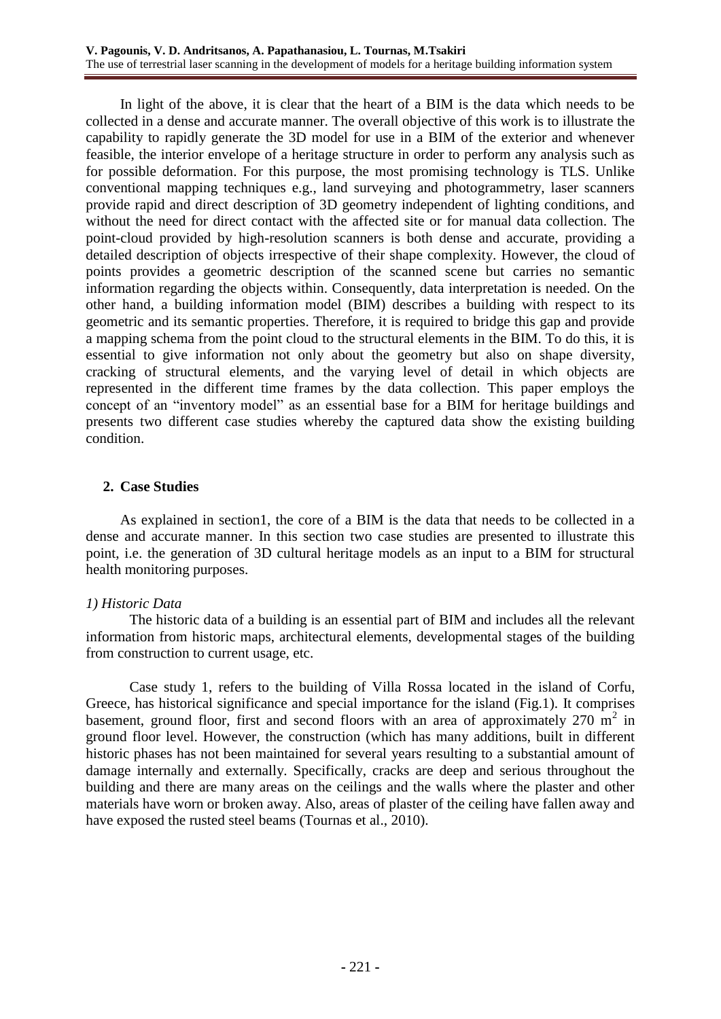In light of the above, it is clear that the heart of a BIM is the data which needs to be collected in a dense and accurate manner. The overall objective of this work is to illustrate the capability to rapidly generate the 3D model for use in a BIM of the exterior and whenever feasible, the interior envelope of a heritage structure in order to perform any analysis such as for possible deformation. For this purpose, the most promising technology is TLS. Unlike conventional mapping techniques e.g., land surveying and photogrammetry, laser scanners provide rapid and direct description of 3D geometry independent of lighting conditions, and without the need for direct contact with the affected site or for manual data collection. The point-cloud provided by high-resolution scanners is both dense and accurate, providing a detailed description of objects irrespective of their shape complexity. However, the cloud of points provides a geometric description of the scanned scene but carries no semantic information regarding the objects within. Consequently, data interpretation is needed. On the other hand, a building information model (BIM) describes a building with respect to its geometric and its semantic properties. Therefore, it is required to bridge this gap and provide a mapping schema from the point cloud to the structural elements in the BIM. To do this, it is essential to give information not only about the geometry but also on shape diversity, cracking of structural elements, and the varying level of detail in which objects are represented in the different time frames by the data collection. This paper employs the concept of an "inventory model" as an essential base for a BIM for heritage buildings and presents two different case studies whereby the captured data show the existing building condition.

### **2. Case Studies**

As explained in section1, the core of a BIM is the data that needs to be collected in a dense and accurate manner. In this section two case studies are presented to illustrate this point, i.e. the generation of 3D cultural heritage models as an input to a BIM for structural health monitoring purposes.

### *1) Historic Data*

The historic data of a building is an essential part of BIM and includes all the relevant information from historic maps, architectural elements, developmental stages of the building from construction to current usage, etc.

Case study 1, refers to the building of Villa Rossa located in the island of Corfu, Greece, has historical significance and special importance for the island (Fig.1). It comprises basement, ground floor, first and second floors with an area of approximately  $270 \text{ m}^2$  in ground floor level. However, the construction (which has many additions, built in different historic phases has not been maintained for several years resulting to a substantial amount of damage internally and externally. Specifically, cracks are deep and serious throughout the building and there are many areas on the ceilings and the walls where the plaster and other materials have worn or broken away. Also, areas of plaster of the ceiling have fallen away and have exposed the rusted steel beams (Tournas et al., 2010).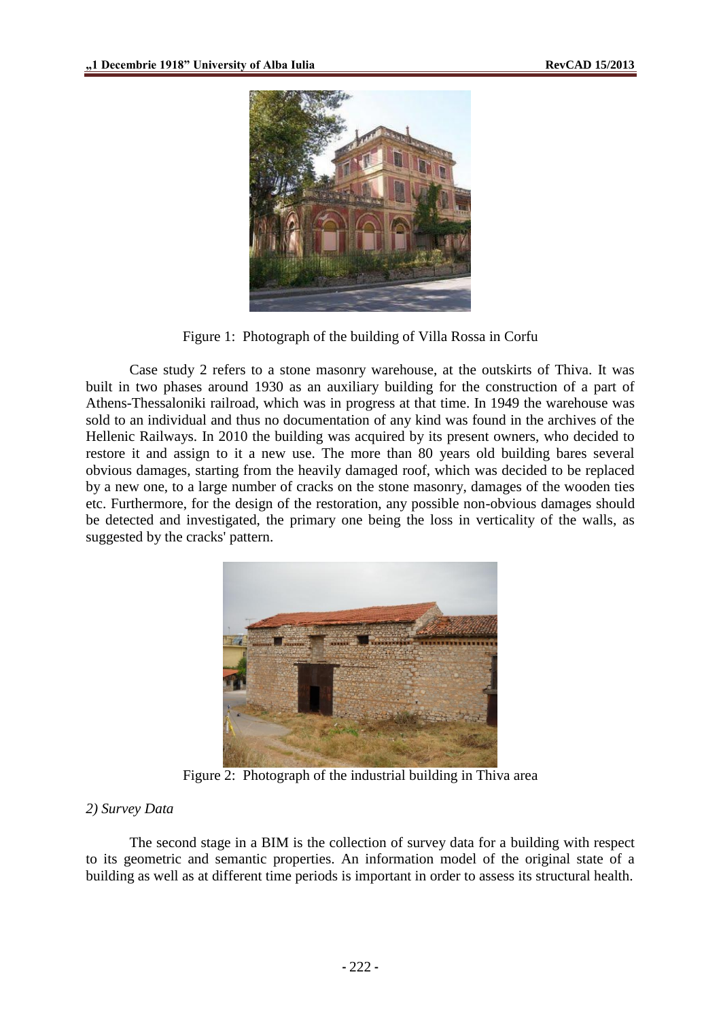

Figure 1: Photograph of the building of Villa Rossa in Corfu

Case study 2 refers to a stone masonry warehouse, at the outskirts of Thiva. It was built in two phases around 1930 as an auxiliary building for the construction of a part of Athens-Thessaloniki railroad, which was in progress at that time. In 1949 the warehouse was sold to an individual and thus no documentation of any kind was found in the archives of the Hellenic Railways. In 2010 the building was acquired by its present owners, who decided to restore it and assign to it a new use. The more than 80 years old building bares several obvious damages, starting from the heavily damaged roof, which was decided to be replaced by a new one, to a large number of cracks on the stone masonry, damages of the wooden ties etc. Furthermore, for the design of the restoration, any possible non-obvious damages should be detected and investigated, the primary one being the loss in verticality of the walls, as suggested by the cracks' pattern.



Figure 2: Photograph of the industrial building in Thiva area

### *2) Survey Data*

The second stage in a BIM is the collection of survey data for a building with respect to its geometric and semantic properties. An information model of the original state of a building as well as at different time periods is important in order to assess its structural health.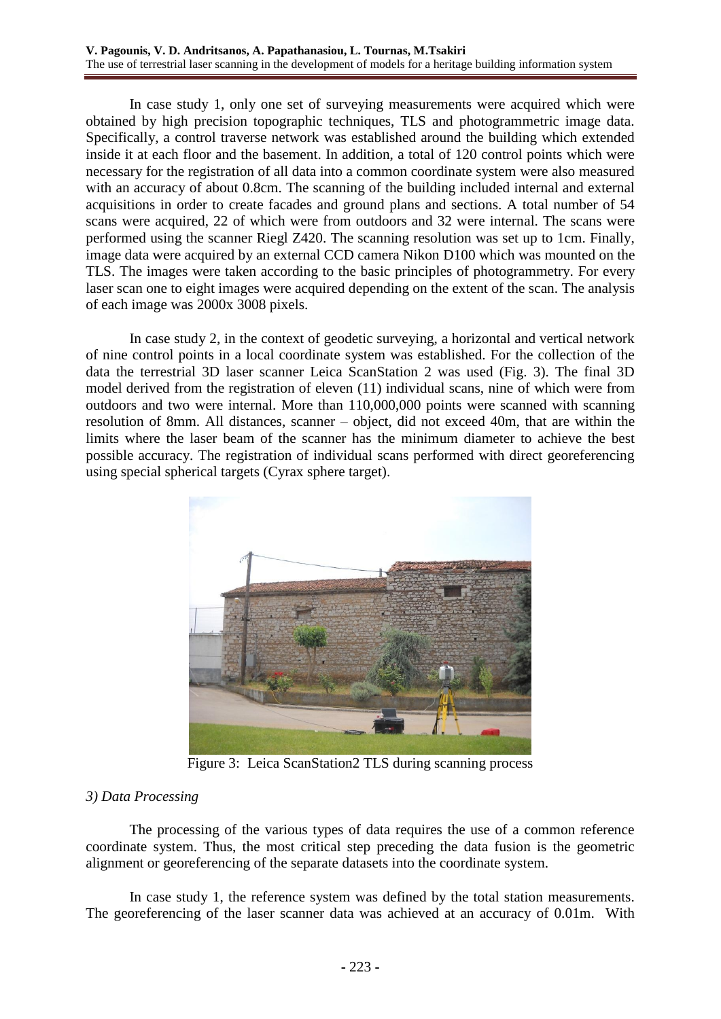In case study 1, only one set of surveying measurements were acquired which were obtained by high precision topographic techniques, TLS and photogrammetric image data. Specifically, a control traverse network was established around the building which extended inside it at each floor and the basement. In addition, a total of 120 control points which were necessary for the registration of all data into a common coordinate system were also measured with an accuracy of about 0.8cm. The scanning of the building included internal and external acquisitions in order to create facades and ground plans and sections. A total number of 54 scans were acquired, 22 of which were from outdoors and 32 were internal. The scans were performed using the scanner Riegl Z420. The scanning resolution was set up to 1cm. Finally, image data were acquired by an external CCD camera Nikon D100 which was mounted on the TLS. The images were taken according to the basic principles of photogrammetry. For every laser scan one to eight images were acquired depending on the extent of the scan. The analysis of each image was 2000x 3008 pixels.

In case study 2, in the context of geodetic surveying, a horizontal and vertical network of nine control points in a local coordinate system was established. For the collection of the data the terrestrial 3D laser scanner Leica ScanStation 2 was used (Fig. 3). The final 3D model derived from the registration of eleven (11) individual scans, nine of which were from outdoors and two were internal. More than 110,000,000 points were scanned with scanning resolution of 8mm. All distances, scanner – object, did not exceed 40m, that are within the limits where the laser beam of the scanner has the minimum diameter to achieve the best possible accuracy. The registration of individual scans performed with direct georeferencing using special spherical targets (Cyrax sphere target).



Figure 3: Leica ScanStation2 TLS during scanning process

### *3) Data Processing*

The processing of the various types of data requires the use of a common reference coordinate system. Thus, the most critical step preceding the data fusion is the geometric alignment or georeferencing of the separate datasets into the coordinate system.

In case study 1, the reference system was defined by the total station measurements. The georeferencing of the laser scanner data was achieved at an accuracy of 0.01m. With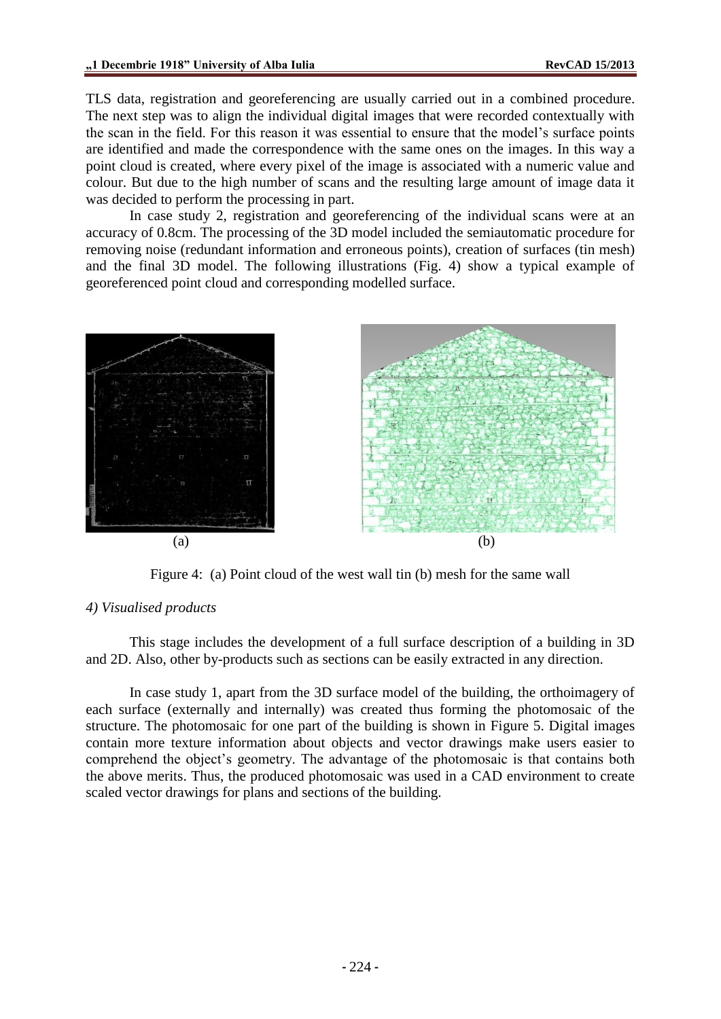TLS data, registration and georeferencing are usually carried out in a combined procedure. The next step was to align the individual digital images that were recorded contextually with the scan in the field. For this reason it was essential to ensure that the model's surface points are identified and made the correspondence with the same ones on the images. In this way a point cloud is created, where every pixel of the image is associated with a numeric value and colour. But due to the high number of scans and the resulting large amount of image data it was decided to perform the processing in part.

In case study 2, registration and georeferencing of the individual scans were at an accuracy of 0.8cm. The processing of the 3D model included the semiautomatic procedure for removing noise (redundant information and erroneous points), creation of surfaces (tin mesh) and the final 3D model. The following illustrations (Fig. 4) show a typical example of georeferenced point cloud and corresponding modelled surface.



Figure 4: (a) Point cloud of the west wall tin (b) mesh for the same wall

### *4) Visualised products*

This stage includes the development of a full surface description of a building in 3D and 2D. Also, other by-products such as sections can be easily extracted in any direction.

In case study 1, apart from the 3D surface model of the building, the orthoimagery of each surface (externally and internally) was created thus forming the photomosaic of the structure. The photomosaic for one part of the building is shown in Figure 5. Digital images contain more texture information about objects and vector drawings make users easier to comprehend the object's geometry. The advantage of the photomosaic is that contains both the above merits. Thus, the produced photomosaic was used in a CAD environment to create scaled vector drawings for plans and sections of the building.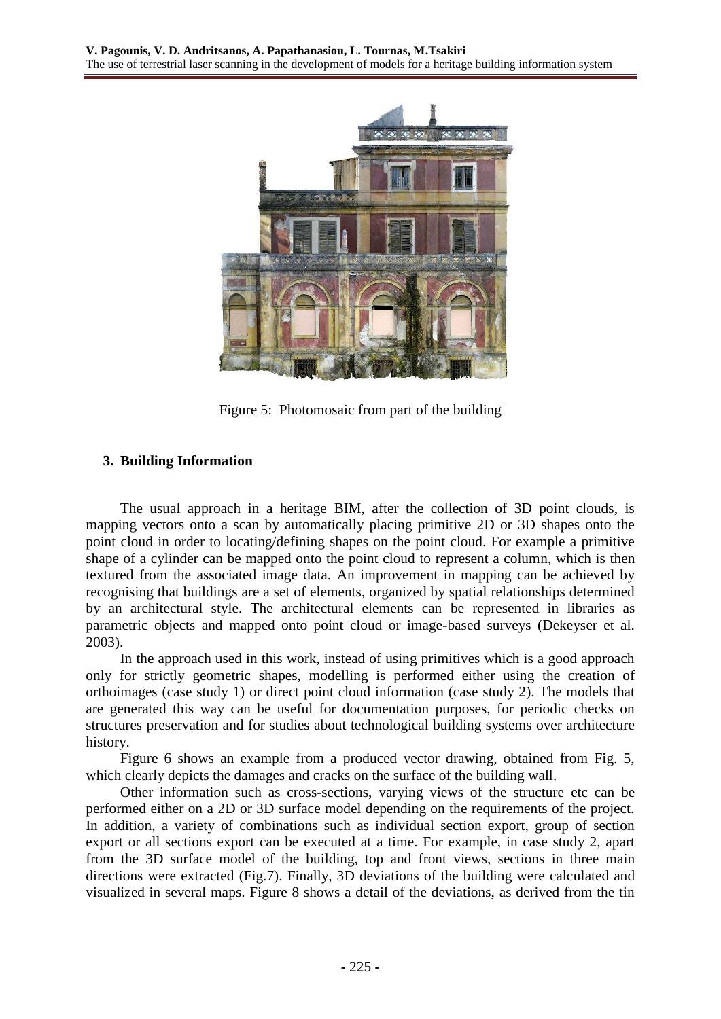

Figure 5: Photomosaic from part of the building

## **3. Building Information**

The usual approach in a heritage BIM, after the collection of 3D point clouds, is mapping vectors onto a scan by automatically placing primitive 2D or 3D shapes onto the point cloud in order to locating/defining shapes on the point cloud. For example a primitive shape of a cylinder can be mapped onto the point cloud to represent a column, which is then textured from the associated image data. An improvement in mapping can be achieved by recognising that buildings are a set of elements, organized by spatial relationships determined by an architectural style. The architectural elements can be represented in libraries as parametric objects and mapped onto point cloud or image-based surveys (Dekeyser et al. 2003).

In the approach used in this work, instead of using primitives which is a good approach only for strictly geometric shapes, modelling is performed either using the creation of orthoimages (case study 1) or direct point cloud information (case study 2). The models that are generated this way can be useful for documentation purposes, for periodic checks on structures preservation and for studies about technological building systems over architecture history.

Figure 6 shows an example from a produced vector drawing, obtained from Fig. 5, which clearly depicts the damages and cracks on the surface of the building wall.

Other information such as cross-sections, varying views of the structure etc can be performed either on a 2D or 3D surface model depending on the requirements of the project. In addition, a variety of combinations such as individual section export, group of section export or all sections export can be executed at a time. For example, in case study 2, apart from the 3D surface model of the building, top and front views, sections in three main directions were extracted (Fig.7). Finally, 3D deviations of the building were calculated and visualized in several maps. Figure 8 shows a detail of the deviations, as derived from the tin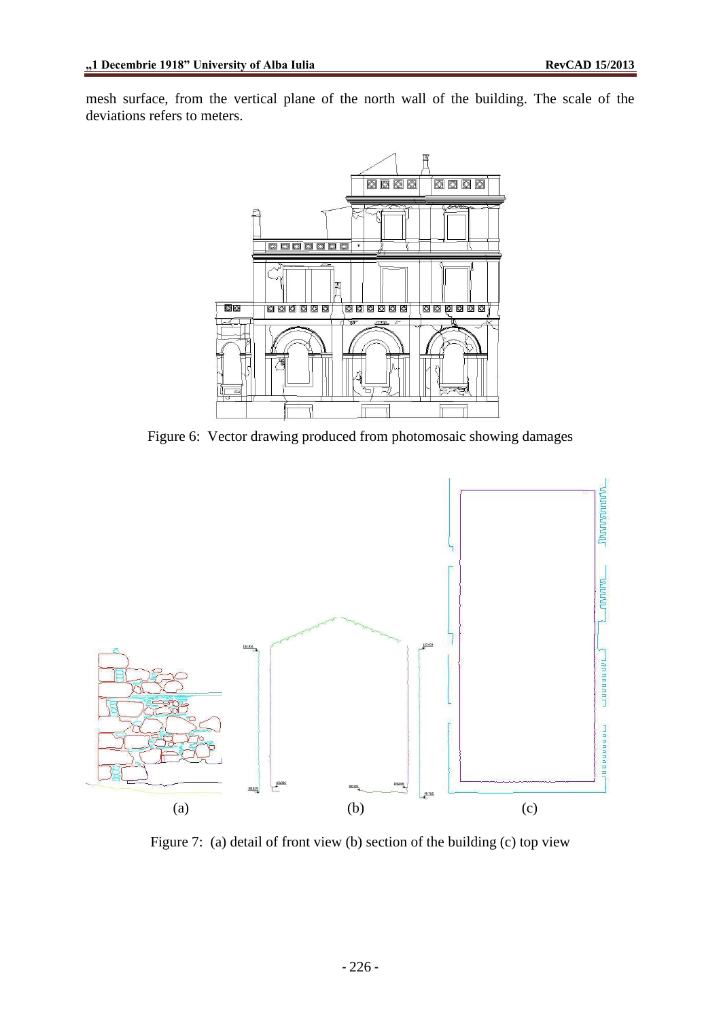mesh surface, from the vertical plane of the north wall of the building. The scale of the deviations refers to meters.



Figure 6: Vector drawing produced from photomosaic showing damages



Figure 7: (a) detail of front view (b) section of the building (c) top view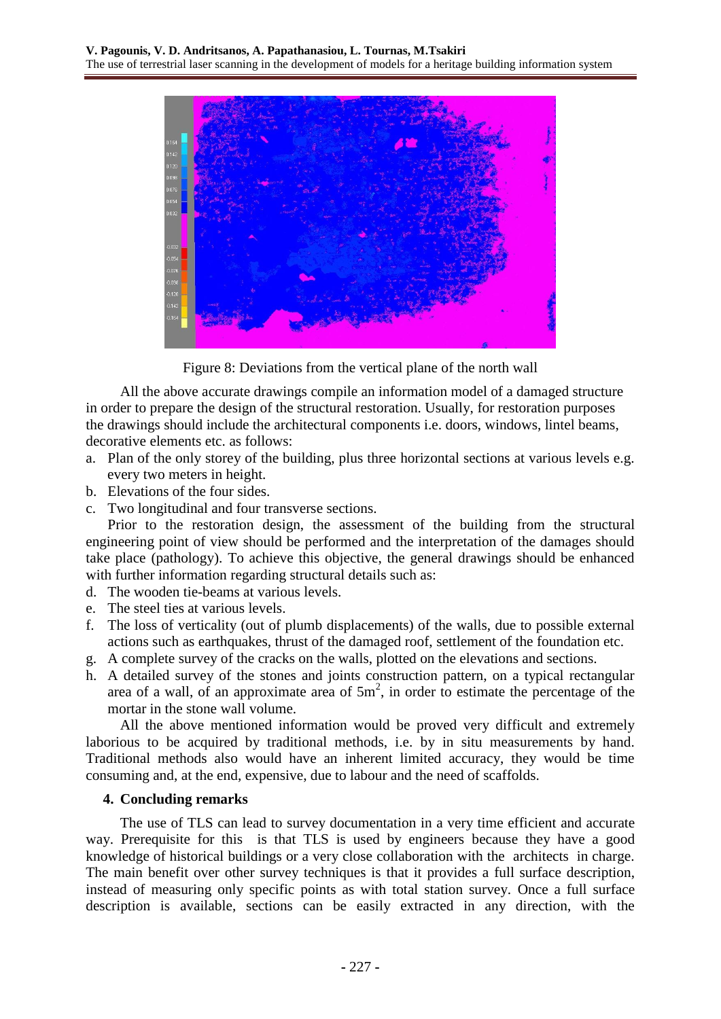

Figure 8: Deviations from the vertical plane of the north wall

All the above accurate drawings compile an information model of a damaged structure in order to prepare the design of the structural restoration. Usually, for restoration purposes the drawings should include the architectural components i.e. doors, windows, lintel beams, decorative elements etc. as follows:

- a. Plan of the only storey of the building, plus three horizontal sections at various levels e.g. every two meters in height.
- b. Elevations of the four sides.
- c. Two longitudinal and four transverse sections.

Prior to the restoration design, the assessment of the building from the structural engineering point of view should be performed and the interpretation of the damages should take place (pathology). To achieve this objective, the general drawings should be enhanced with further information regarding structural details such as:

- d. The wooden tie-beams at various levels.
- e. The steel ties at various levels.
- f. The loss of verticality (out of plumb displacements) of the walls, due to possible external actions such as earthquakes, thrust of the damaged roof, settlement of the foundation etc.
- g. A complete survey of the cracks on the walls, plotted on the elevations and sections.
- h. A detailed survey of the stones and joints construction pattern, on a typical rectangular area of a wall, of an approximate area of  $5m^2$ , in order to estimate the percentage of the mortar in the stone wall volume.

All the above mentioned information would be proved very difficult and extremely laborious to be acquired by traditional methods, i.e. by in situ measurements by hand. Traditional methods also would have an inherent limited accuracy, they would be time consuming and, at the end, expensive, due to labour and the need of scaffolds.

### **4. Concluding remarks**

The use of TLS can lead to survey documentation in a very time efficient and accurate way. Prerequisite for this is that TLS is used by engineers because they have a good knowledge of historical buildings or a very close collaboration with the architects in charge. The main benefit over other survey techniques is that it provides a full surface description, instead of measuring only specific points as with total station survey. Once a full surface description is available, sections can be easily extracted in any direction, with the